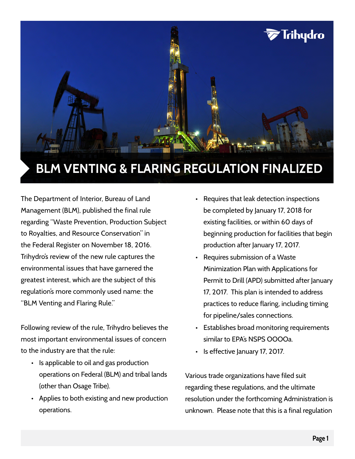

# The Department of Interior, Bureau of Land Management (BLM), published the final rule regarding "Waste Prevention, Production Subject to Royalties, and Resource Conservation" in the Federal Register on November 18, 2016. Trihydro's review of the new rule captures the environmental issues that have garnered the greatest interest, which are the subject of this regulation's more commonly used name: the "BLM Venting and Flaring Rule."

Following review of the rule, Trihydro believes the most important environmental issues of concern to the industry are that the rule:

- Is applicable to oil and gas production operations on Federal (BLM) and tribal lands (other than Osage Tribe).
- Applies to both existing and new production operations.
- Requires that leak detection inspections be completed by January 17, 2018 for existing facilities, or within 60 days of beginning production for facilities that begin production after January 17, 2017.
- Requires submission of a Waste Minimization Plan with Applications for Permit to Drill (APD) submitted after January 17, 2017. This plan is intended to address practices to reduce flaring, including timing for pipeline/sales connections.
- Establishes broad monitoring requirements similar to EPA's NSPS OOOOa.
- Is effective January 17, 2017.

Various trade organizations have filed suit regarding these regulations, and the ultimate resolution under the forthcoming Administration is unknown. Please note that this is a final regulation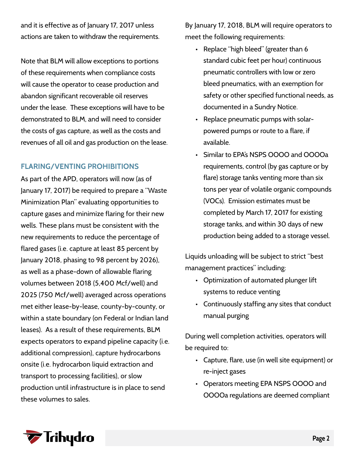and it is effective as of January 17, 2017 unless actions are taken to withdraw the requirements.

Note that BLM will allow exceptions to portions of these requirements when compliance costs will cause the operator to cease production and abandon significant recoverable oil reserves under the lease. These exceptions will have to be demonstrated to BLM, and will need to consider the costs of gas capture, as well as the costs and revenues of all oil and gas production on the lease.

## **FLARING/VENTING PROHIBITIONS**

As part of the APD, operators will now (as of January 17, 2017) be required to prepare a "Waste Minimization Plan" evaluating opportunities to capture gases and minimize flaring for their new wells. These plans must be consistent with the new requirements to reduce the percentage of flared gases (i.e. capture at least 85 percent by January 2018, phasing to 98 percent by 2026), as well as a phase-down of allowable flaring volumes between 2018 (5,400 Mcf/well) and 2025 (750 Mcf/well) averaged across operations met either lease-by-lease, county-by-county, or within a state boundary (on Federal or Indian land leases). As a result of these requirements, BLM expects operators to expand pipeline capacity (i.e. additional compression), capture hydrocarbons onsite (i.e. hydrocarbon liquid extraction and transport to processing facilities), or slow production until infrastructure is in place to send these volumes to sales.

By January 17, 2018, BLM will require operators to meet the following requirements:

- Replace "high bleed" (greater than 6 standard cubic feet per hour) continuous pneumatic controllers with low or zero bleed pneumatics, with an exemption for safety or other specified functional needs, as documented in a Sundry Notice.
- Replace pneumatic pumps with solarpowered pumps or route to a flare, if available.
- Similar to EPA's NSPS OOOO and OOOOa requirements, control (by gas capture or by flare) storage tanks venting more than six tons per year of volatile organic compounds (VOCs). Emission estimates must be completed by March 17, 2017 for existing storage tanks, and within 30 days of new production being added to a storage vessel.

Liquids unloading will be subject to strict "best management practices" including:

- Optimization of automated plunger lift systems to reduce venting
- Continuously staffing any sites that conduct manual purging

During well completion activities, operators will be required to:

- Capture, flare, use (in well site equipment) or re-inject gases
- Operators meeting EPA NSPS OOOO and OOOOa regulations are deemed compliant